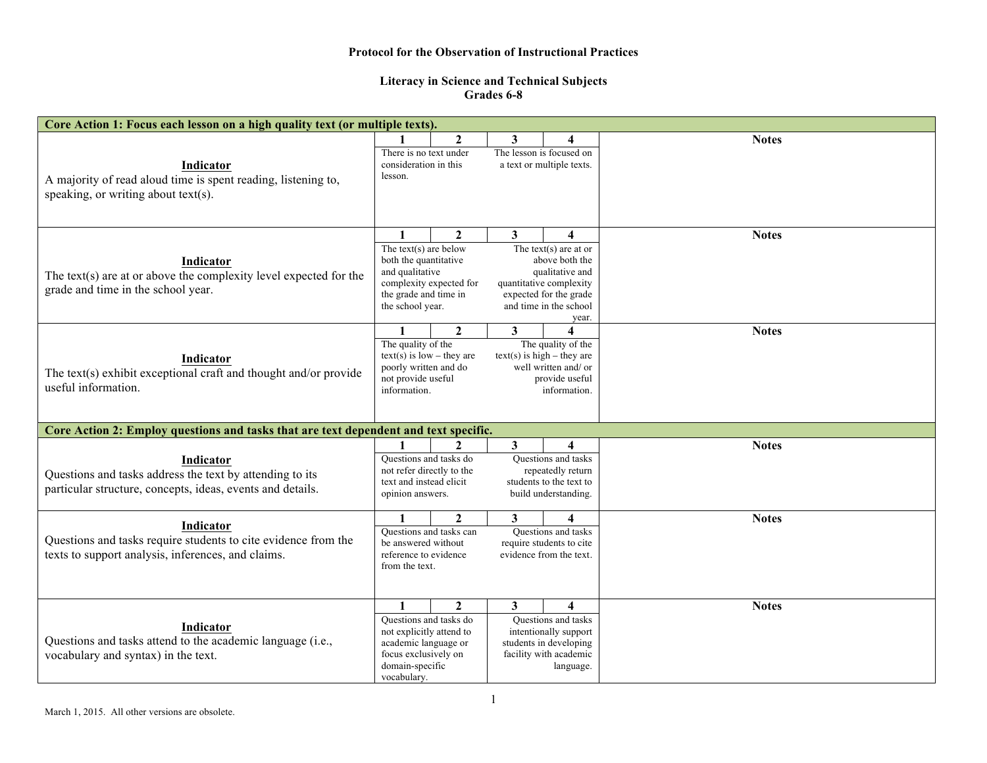## **Protocol for the Observation of Instructional Practices**

## **Literacy in Science and Technical Subjects Grades 6-8**

| Core Action 1: Focus each lesson on a high quality text (or multiple texts).                                                        |                                                                                                                                                                                                                                                                                                                                                          |                |   |                                                                                                                    |              |  |  |  |  |  |
|-------------------------------------------------------------------------------------------------------------------------------------|----------------------------------------------------------------------------------------------------------------------------------------------------------------------------------------------------------------------------------------------------------------------------------------------------------------------------------------------------------|----------------|---|--------------------------------------------------------------------------------------------------------------------|--------------|--|--|--|--|--|
| Indicator                                                                                                                           | There is no text under<br>consideration in this                                                                                                                                                                                                                                                                                                          | $\overline{2}$ | 3 | 4<br>The lesson is focused on<br>a text or multiple texts.                                                         | <b>Notes</b> |  |  |  |  |  |
| A majority of read aloud time is spent reading, listening to,<br>speaking, or writing about text(s).                                | lesson.                                                                                                                                                                                                                                                                                                                                                  |                |   |                                                                                                                    |              |  |  |  |  |  |
| Indicator<br>The text(s) are at or above the complexity level expected for the<br>grade and time in the school year.                | $\overline{2}$<br>3 <sup>1</sup><br>$\mathbf{1}$<br>4<br>The text(s) are below<br>The text(s) are at or<br>both the quantitative<br>above both the<br>and qualitative<br>qualitative and<br>complexity expected for<br>quantitative complexity<br>the grade and time in<br>expected for the grade<br>the school year.<br>and time in the school<br>year. |                |   | <b>Notes</b>                                                                                                       |              |  |  |  |  |  |
| Indicator<br>The text(s) exhibit exceptional craft and thought and/or provide<br>useful information.                                | $\overline{2}$<br>$\mathbf{3}$<br>$\mathbf{1}$<br>4<br>The quality of the<br>The quality of the<br>$text(s)$ is low – they are<br>$text(s)$ is high – they are<br>poorly written and do<br>well written and/ or<br>not provide useful<br>provide useful<br>information.<br>information.                                                                  |                |   |                                                                                                                    | <b>Notes</b> |  |  |  |  |  |
| Core Action 2: Employ questions and tasks that are text dependent and text specific.                                                |                                                                                                                                                                                                                                                                                                                                                          |                |   |                                                                                                                    |              |  |  |  |  |  |
| Indicator<br>Questions and tasks address the text by attending to its<br>particular structure, concepts, ideas, events and details. | $\mathbf{2}$<br>3<br>4<br>Questions and tasks do<br>Questions and tasks<br>not refer directly to the<br>repeatedly return<br>students to the text to<br>text and instead elicit<br>build understanding.<br>opinion answers.                                                                                                                              |                |   |                                                                                                                    | <b>Notes</b> |  |  |  |  |  |
| Indicator<br>Questions and tasks require students to cite evidence from the<br>texts to support analysis, inferences, and claims.   | $\mathbf{2}$<br>1<br>3<br>4<br>Ouestions and tasks can<br>Questions and tasks<br>be answered without<br>require students to cite<br>reference to evidence<br>evidence from the text.<br>from the text.                                                                                                                                                   |                |   |                                                                                                                    | <b>Notes</b> |  |  |  |  |  |
| Indicator<br>Questions and tasks attend to the academic language (i.e.,<br>vocabulary and syntax) in the text.                      | Ouestions and tasks do<br>not explicitly attend to<br>academic language or<br>focus exclusively on<br>domain-specific<br>vocabulary.                                                                                                                                                                                                                     | $\overline{2}$ | 3 | 4<br>Questions and tasks<br>intentionally support<br>students in developing<br>facility with academic<br>language. | <b>Notes</b> |  |  |  |  |  |